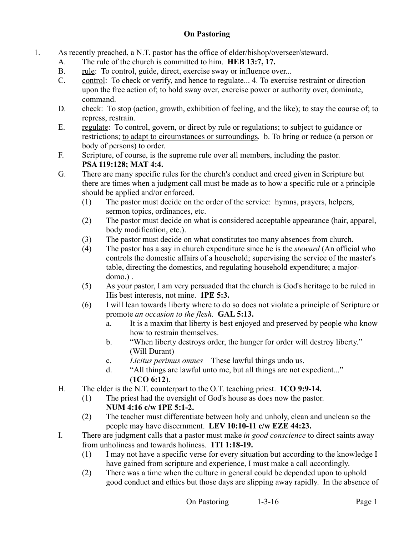## **On Pastoring**

- 1. As recently preached, a N.T. pastor has the office of elder/bishop/overseer/steward.
	- A. The rule of the church is committed to him. **HEB 13:7, 17.**
	- B. rule: To control, guide, direct, exercise sway or influence over...
	- C. control: To check or verify, and hence to regulate... 4. To exercise restraint or direction upon the free action of; to hold sway over, exercise power or authority over, dominate, command.
	- D. check: To stop (action, growth, exhibition of feeling, and the like); to stay the course of; to repress, restrain.
	- E. regulate: To control, govern, or direct by rule or regulations; to subject to guidance or restrictions; to adapt to circumstances or surroundings. b. To bring or reduce (a person or body of persons) to order.
	- F. Scripture, of course, is the supreme rule over all members, including the pastor. **PSA 119:128; MAT 4:4.**
	- G. There are many specific rules for the church's conduct and creed given in Scripture but there are times when a judgment call must be made as to how a specific rule or a principle should be applied and/or enforced.
		- (1) The pastor must decide on the order of the service: hymns, prayers, helpers, sermon topics, ordinances, etc.
		- (2) The pastor must decide on what is considered acceptable appearance (hair, apparel, body modification, etc.).
		- (3) The pastor must decide on what constitutes too many absences from church.
		- (4) The pastor has a say in church expenditure since he is the *steward* (An official who controls the domestic affairs of a household; supervising the service of the master's table, directing the domestics, and regulating household expenditure; a majordomo.) .
		- (5) As your pastor, I am very persuaded that the church is God's heritage to be ruled in His best interests, not mine. **1PE 5:3.**
		- (6) I will lean towards liberty where to do so does not violate a principle of Scripture or promote *an occasion to the flesh*. **GAL 5:13.**
			- a. It is a maxim that liberty is best enjoyed and preserved by people who know how to restrain themselves.
			- b. "When liberty destroys order, the hunger for order will destroy liberty." (Will Durant)
			- c. *Licitus perimus omnes* These lawful things undo us.
			- d. "All things are lawful unto me, but all things are not expedient..." (**1CO 6:12**).
	- H. The elder is the N.T. counterpart to the O.T. teaching priest. **1CO 9:9-14.**
		- (1) The priest had the oversight of God's house as does now the pastor. **NUM 4:16 c/w 1PE 5:1-2.**
		- (2) The teacher must differentiate between holy and unholy, clean and unclean so the people may have discernment. **LEV 10:10-11 c/w EZE 44:23.**
	- I. There are judgment calls that a pastor must make *in good conscience* to direct saints away from unholiness and towards holiness. **1TI 1:18-19.**
		- (1) I may not have a specific verse for every situation but according to the knowledge I have gained from scripture and experience, I must make a call accordingly.
		- (2) There was a time when the culture in general could be depended upon to uphold good conduct and ethics but those days are slipping away rapidly. In the absence of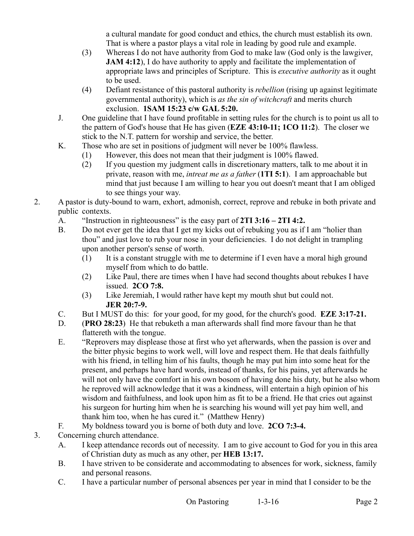a cultural mandate for good conduct and ethics, the church must establish its own. That is where a pastor plays a vital role in leading by good rule and example.

- (3) Whereas I do not have authority from God to make law (God only is the lawgiver, **JAM 4:12**), I do have authority to apply and facilitate the implementation of appropriate laws and principles of Scripture. This is *executive authority* as it ought to be used.
- (4) Defiant resistance of this pastoral authority is *rebellion* (rising up against legitimate governmental authority), which is *as the sin of witchcraft* and merits church exclusion. **1SAM 15:23 c/w GAL 5:20.**
- J. One guideline that I have found profitable in setting rules for the church is to point us all to the pattern of God's house that He has given (**EZE 43:10-11; 1CO 11:2**). The closer we stick to the N.T. pattern for worship and service, the better.
- K. Those who are set in positions of judgment will never be 100% flawless.
	- (1) However, this does not mean that their judgment is 100% flawed.
	- (2) If you question my judgment calls in discretionary matters, talk to me about it in private, reason with me, *intreat me as a father* (**1TI 5:1**). I am approachable but mind that just because I am willing to hear you out doesn't meant that I am obliged to see things your way.
- 2. A pastor is duty-bound to warn, exhort, admonish, correct, reprove and rebuke in both private and public contexts.
	- A. "Instruction in righteousness" is the easy part of **2TI 3:16 2TI 4:2.**
	- B. Do not ever get the idea that I get my kicks out of rebuking you as if I am "holier than thou" and just love to rub your nose in your deficiencies. I do not delight in trampling upon another person's sense of worth.
		- (1) It is a constant struggle with me to determine if I even have a moral high ground myself from which to do battle.
		- (2) Like Paul, there are times when I have had second thoughts about rebukes I have issued. **2CO 7:8.**
		- (3) Like Jeremiah, I would rather have kept my mouth shut but could not. **JER 20:7-9.**
	- C. But I MUST do this: for your good, for my good, for the church's good. **EZE 3:17-21.**
	- D. (**PRO 28:23**) He that rebuketh a man afterwards shall find more favour than he that flattereth with the tongue.
	- E. "Reprovers may displease those at first who yet afterwards, when the passion is over and the bitter physic begins to work well, will love and respect them. He that deals faithfully with his friend, in telling him of his faults, though he may put him into some heat for the present, and perhaps have hard words, instead of thanks, for his pains, yet afterwards he will not only have the comfort in his own bosom of having done his duty, but he also whom he reproved will acknowledge that it was a kindness, will entertain a high opinion of his wisdom and faithfulness, and look upon him as fit to be a friend. He that cries out against his surgeon for hurting him when he is searching his wound will yet pay him well, and thank him too, when he has cured it." (Matthew Henry)
	- F. My boldness toward you is borne of both duty and love. **2CO 7:3-4.**
- 3. Concerning church attendance.
	- A. I keep attendance records out of necessity. I am to give account to God for you in this area of Christian duty as much as any other, per **HEB 13:17.**
	- B. I have striven to be considerate and accommodating to absences for work, sickness, family and personal reasons.
	- C. I have a particular number of personal absences per year in mind that I consider to be the